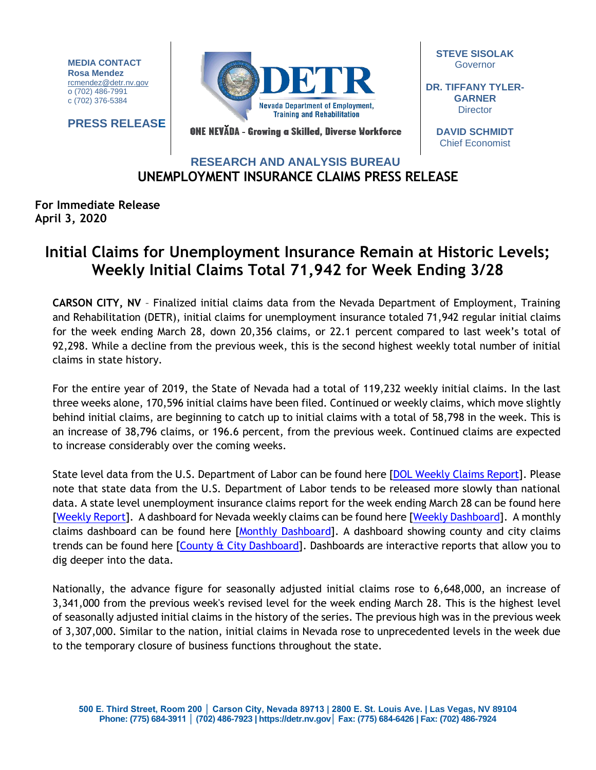**MEDIA CONTACT Rosa Mendez** [rcmendez@detr.nv.gov](mailto:rcmendez@detr.nv.gov) o (702) 486-7991 c (702) 376-5384

**PRESS RELEASE**



ONE NEVĂDA - Growing a Skilled, Diverse Workforce

**STEVE SISOLAK Governor** 

**DR. TIFFANY TYLER-GARNER Director** 

> **DAVID SCHMIDT** Chief Economist

## **UNEMPLOYMENT INSURANCE CLAIMS PRESS RELEASE RESEARCH AND ANALYSIS BUREAU**

## **For Immediate Release April 3, 2020**

## **Initial Claims for Unemployment Insurance Remain at Historic Levels; Weekly Initial Claims Total 71,942 for Week Ending 3/28**

**CARSON CITY, NV** – Finalized initial claims data from the Nevada Department of Employment, Training and Rehabilitation (DETR), initial claims for unemployment insurance totaled 71,942 regular initial claims for the week ending March 28, down 20,356 claims, or 22.1 percent compared to last week's total of 92,298. While a decline from the previous week, this is the second highest weekly total number of initial claims in state history.

For the entire year of 2019, the State of Nevada had a total of 119,232 weekly initial claims. In the last three weeks alone, 170,596 initial claims have been filed. Continued or weekly claims, which move slightly behind initial claims, are beginning to catch up to initial claims with a total of 58,798 in the week. This is an increase of 38,796 claims, or 196.6 percent, from the previous week. Continued claims are expected to increase considerably over the coming weeks.

State level data from the U.S. Department of Labor can be found here [\[DOL Weekly Claims Report\]](https://oui.doleta.gov/unemploy/claims_arch.asp). Please note that state data from the U.S. Department of Labor tends to be released more slowly than national data. A state level unemployment insurance claims report for the week ending March 28 can be found here [\[Weekly Report\]](http://nvlmi.mt.gov/Portals/197/UI%20Monthly%20Claims%20Press%20Release/Dashboards/State%20of%20Nevada%20UI%20Weekly%20Filing%20Report.pdf). A dashboard for Nevada weekly claims can be found here [\[Weekly Dashboard\]](http://nvlmi.mt.gov/Portals/197/UI%20Monthly%20Claims%20Press%20Release/Dashboards/UIWeeklyDashboard.html). A monthly claims dashboard can be found here [\[Monthly Dashboard\]](http://nvlmi.mt.gov/Portals/197/UI%20Monthly%20Claims%20Press%20Release/Dashboards/UIMonthlyDashboard.html). A dashboard showing county and city claims trends can be found here [\[County & City Dashboard\]](http://nvlmi.mt.gov/Portals/197/UI%20Monthly%20Claims%20Press%20Release/Dashboards/UIClaimsbyArea.html). Dashboards are interactive reports that allow you to dig deeper into the data.

Nationally, the advance figure for seasonally adjusted initial claims rose to 6,648,000, an increase of 3,341,000 from the previous week's revised level for the week ending March 28. This is the highest level of seasonally adjusted initial claims in the history of the series. The previous high was in the previous week of 3,307,000. Similar to the nation, initial claims in Nevada rose to unprecedented levels in the week due to the temporary closure of business functions throughout the state.